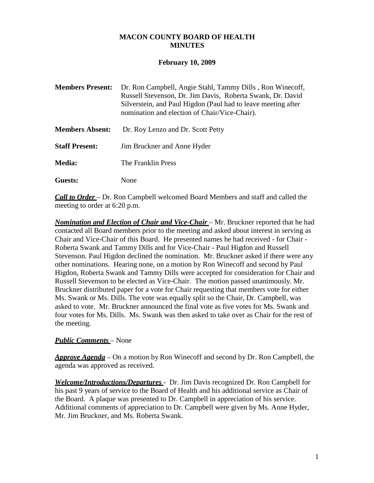## **MACON COUNTY BOARD OF HEALTH MINUTES**

#### **February 10, 2009**

| <b>Members Present:</b> | Dr. Ron Campbell, Angie Stahl, Tammy Dills, Ron Winecoff,<br>Russell Stevenson, Dr. Jim Davis, Roberta Swank, Dr. David<br>Silverstein, and Paul Higdon (Paul had to leave meeting after<br>nomination and election of Chair/Vice-Chair). |
|-------------------------|-------------------------------------------------------------------------------------------------------------------------------------------------------------------------------------------------------------------------------------------|
| <b>Members Absent:</b>  | Dr. Roy Lenzo and Dr. Scott Petty                                                                                                                                                                                                         |
| <b>Staff Present:</b>   | Jim Bruckner and Anne Hyder                                                                                                                                                                                                               |
| <b>Media:</b>           | The Franklin Press                                                                                                                                                                                                                        |
| Guests:                 | None                                                                                                                                                                                                                                      |

*Call to Order* – Dr. Ron Campbell welcomed Board Members and staff and called the meeting to order at 6:20 p.m.

*Nomination and Election of Chair and Vice-Chair* – Mr. Bruckner reported that he had contacted all Board members prior to the meeting and asked about interest in serving as Chair and Vice-Chair of this Board. He presented names he had received - for Chair - Roberta Swank and Tammy Dills and for Vice-Chair - Paul Higdon and Russell Stevenson. Paul Higdon declined the nomination. Mr. Bruckner asked if there were any other nominations. Hearing none, on a motion by Ron Winecoff and second by Paul Higdon, Roberta Swank and Tammy Dills were accepted for consideration for Chair and Russell Stevenson to be elected as Vice-Chair. The motion passed unanimously. Mr. Bruckner distributed paper for a vote for Chair requesting that members vote for either Ms. Swank or Ms. Dills. The vote was equally split so the Chair, Dr. Campbell, was asked to vote. Mr. Bruckner announced the final vote as five votes for Ms. Swank and four votes for Ms. Dills. Ms. Swank was then asked to take over as Chair for the rest of the meeting.

# *Public Comments* – None

*Approve Agenda* – On a motion by Ron Winecoff and second by Dr. Ron Campbell, the agenda was approved as received.

*Welcome/Introductions/Departures* - Dr. Jim Davis recognized Dr. Ron Campbell for his past 9 years of service to the Board of Health and his additional service as Chair of the Board. A plaque was presented to Dr. Campbell in appreciation of his service. Additional comments of appreciation to Dr. Campbell were given by Ms. Anne Hyder, Mr. Jim Bruckner, and Ms. Roberta Swank.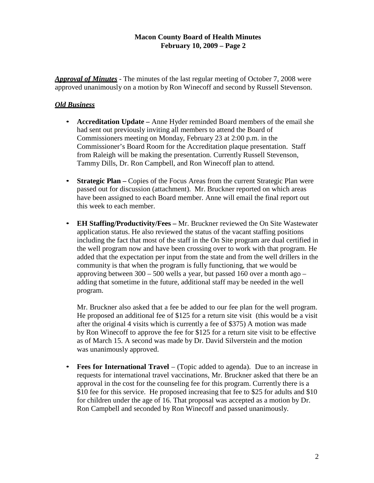### **Macon County Board of Health Minutes February 10, 2009 – Page 2**

*Approval of Minutes* - The minutes of the last regular meeting of October 7, 2008 were approved unanimously on a motion by Ron Winecoff and second by Russell Stevenson.

### *Old Business*

- **Accreditation Update –** Anne Hyder reminded Board members of the email she had sent out previously inviting all members to attend the Board of Commissioners meeting on Monday, February 23 at 2:00 p.m. in the Commissioner's Board Room for the Accreditation plaque presentation. Staff from Raleigh will be making the presentation. Currently Russell Stevenson, Tammy Dills, Dr. Ron Campbell, and Ron Winecoff plan to attend.
- **Strategic Plan –** Copies of the Focus Areas from the current Strategic Plan were passed out for discussion (attachment). Mr. Bruckner reported on which areas have been assigned to each Board member. Anne will email the final report out this week to each member.
- **EH Staffing/Productivity/Fees –** Mr. Bruckner reviewed the On Site Wastewater application status. He also reviewed the status of the vacant staffing positions including the fact that most of the staff in the On Site program are dual certified in the well program now and have been crossing over to work with that program. He added that the expectation per input from the state and from the well drillers in the community is that when the program is fully functioning, that we would be approving between  $300 - 500$  wells a year, but passed 160 over a month ago – adding that sometime in the future, additional staff may be needed in the well program.

Mr. Bruckner also asked that a fee be added to our fee plan for the well program. He proposed an additional fee of \$125 for a return site visit (this would be a visit after the original 4 visits which is currently a fee of \$375) A motion was made by Ron Winecoff to approve the fee for \$125 for a return site visit to be effective as of March 15. A second was made by Dr. David Silverstein and the motion was unanimously approved.

• **Fees for International Travel** – (Topic added to agenda). Due to an increase in requests for international travel vaccinations, Mr. Bruckner asked that there be an approval in the cost for the counseling fee for this program. Currently there is a \$10 fee for this service. He proposed increasing that fee to \$25 for adults and \$10 for children under the age of 16. That proposal was accepted as a motion by Dr. Ron Campbell and seconded by Ron Winecoff and passed unanimously.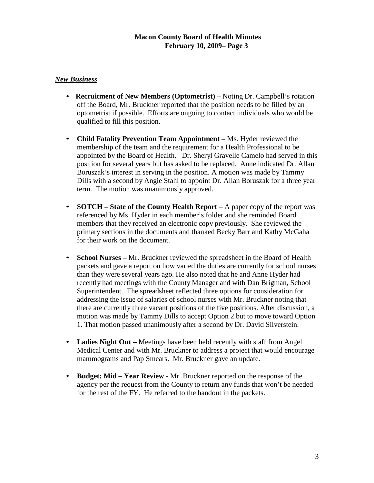### **Macon County Board of Health Minutes February 10, 2009– Page 3**

### *New Business*

- **Recruitment of New Members (Optometrist) –** Noting Dr. Campbell's rotation off the Board, Mr. Bruckner reported that the position needs to be filled by an optometrist if possible. Efforts are ongoing to contact individuals who would be qualified to fill this position.
- **Child Fatality Prevention Team Appointment –** Ms. Hyder reviewed the membership of the team and the requirement for a Health Professional to be appointed by the Board of Health. Dr. Sheryl Gravelle Camelo had served in this position for several years but has asked to be replaced. Anne indicated Dr. Allan Boruszak's interest in serving in the position. A motion was made by Tammy Dills with a second by Angie Stahl to appoint Dr. Allan Boruszak for a three year term. The motion was unanimously approved.
- **SOTCH – State of the County Health Report** A paper copy of the report was referenced by Ms. Hyder in each member's folder and she reminded Board members that they received an electronic copy previously. She reviewed the primary sections in the documents and thanked Becky Barr and Kathy McGaha for their work on the document.
- **School Nurses –** Mr. Bruckner reviewed the spreadsheet in the Board of Health packets and gave a report on how varied the duties are currently for school nurses than they were several years ago. He also noted that he and Anne Hyder had recently had meetings with the County Manager and with Dan Brigman, School Superintendent. The spreadsheet reflected three options for consideration for addressing the issue of salaries of school nurses with Mr. Bruckner noting that there are currently three vacant positions of the five positions. After discussion, a motion was made by Tammy Dills to accept Option 2 but to move toward Option 1. That motion passed unanimously after a second by Dr. David Silverstein.
- Ladies Night Out Meetings have been held recently with staff from Angel Medical Center and with Mr. Bruckner to address a project that would encourage mammograms and Pap Smears. Mr. Bruckner gave an update.
- **Budget: Mid – Year Review -** Mr. Bruckner reported on the response of the agency per the request from the County to return any funds that won't be needed for the rest of the FY. He referred to the handout in the packets.